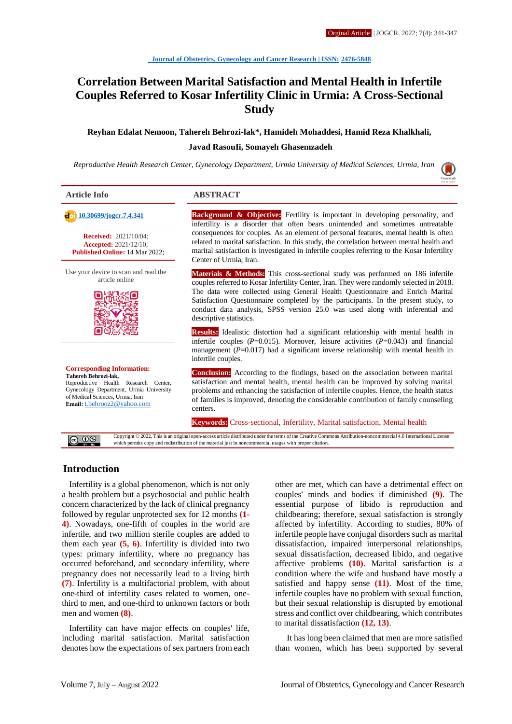# **Correlation Between Marital Satisfaction and Mental Health in Infertile Couples Referred to Kosar Infertility Clinic in Urmia: A Cross-Sectional Study**

**Reyhan Edalat Nemoon, Tahereh Behrozi-lak\*, Hamideh Mohaddesi, Hamid Reza Khalkhali,**

#### **Javad RasouIi, Somayeh Ghasemzadeh**

*Reproductive Health Research Center, Gynecology Department, Urmia University of Medical Sciences, Urmia, Iran*



**Received:** 2021/10/04; **Accepted:** 2021/12/10; **Published Online:** 14 Mar 2022;

Use your device to scan and read the article online



**Corresponding Information: Tahereh Behrozi-lak,** Reproductive Health Research Center, Gynecology Department, Urmia University of Medical Sciences, Urmia, Iran **Email:** [t.behrooz2@yahoo.com](mailto:t.behrooz2@yahoo.com)

## **Article Info ABSTRACT**

 **[10.30699/jogcr.7.4.341](http://dx.doi.org/10.30699/jogcr.7.4.341) Background & Objective:** Fertility is important in developing personality, and infertility is a disorder that often bears unintended and sometimes untreatable consequences for couples. As an element of personal features, mental health is often related to marital satisfaction. In this study, the correlation between mental health and marital satisfaction is investigated in infertile couples referring to the Kosar Infertility Center of Urmia, Iran.

> **Materials & Methods:** This cross-sectional study was performed on 186 infertile couples referred to Kosar Infertility Center, Iran. They were randomly selected in 2018. The data were collected using General Health Questionnaire and Enrich Marital Satisfaction Questionnaire completed by the participants. In the present study, to conduct data analysis, SPSS version 25.0 was used along with inferential and descriptive statistics.

> **Results:** Idealistic distortion had a significant relationship with mental health in infertile couples  $(P=0.015)$ . Moreover, leisure activities  $(P=0.043)$  and financial management (*P*=0.017) had a significant inverse relationship with mental health in infertile couples.

> **Conclusion:** According to the findings, based on the association between marital satisfaction and mental health, mental health can be improved by solving marital problems and enhancing the satisfaction of infertile couples. Hence, the health status of families is improved, denoting the considerable contribution of family counseling centers.

**Keywords:** Cross-sectional, Infertility, Marital satisfaction, Mental health

Copyright © 2022, This is an original open-access article distributed under the terms of the Creative Commons Attribution-noncommercial 4.0 International License which permits copy and redistribution of the material just in noncommercial usages with proper citation.

## **Introduction**

 $\circledcirc$ 

Infertility is a global phenomenon, which is not only a health problem but a psychosocial and public health concern characterized by the lack of clinical pregnancy followed by regular unprotected sex for 12 months **(1- 4)**. Nowadays, one-fifth of couples in the world are infertile, and two million sterile couples are added to them each year **(5, 6)**. Infertility is divided into two types: primary infertility, where no pregnancy has occurred beforehand, and secondary infertility, where pregnancy does not necessarily lead to a living birth **(7)**. Infertility is a multifactorial problem, with about one-third of infertility cases related to women, onethird to men, and one-third to unknown factors or both men and women **(8)**.

Infertility can have major effects on couples' life, including marital satisfaction. Marital satisfaction denotes how the expectations of sex partners from each

other are met, which can have a detrimental effect on couples' minds and bodies if diminished **(9)**. The essential purpose of libido is reproduction and childbearing; therefore, sexual satisfaction is strongly affected by infertility. According to studies, 80% of infertile people have conjugal disorders such as marital dissatisfaction, impaired interpersonal relationships, sexual dissatisfaction, decreased libido, and negative affective problems **(10)**. Marital satisfaction is a condition where the wife and husband have mostly a satisfied and happy sense **(11)**. Most of the time, infertile couples have no problem with sexual function, but their sexual relationship is disrupted by emotional stress and conflict over childbearing, which contributes to marital dissatisfaction **(12, 13)**.

 It has long been claimed that men are more satisfied than women, which has been supported by several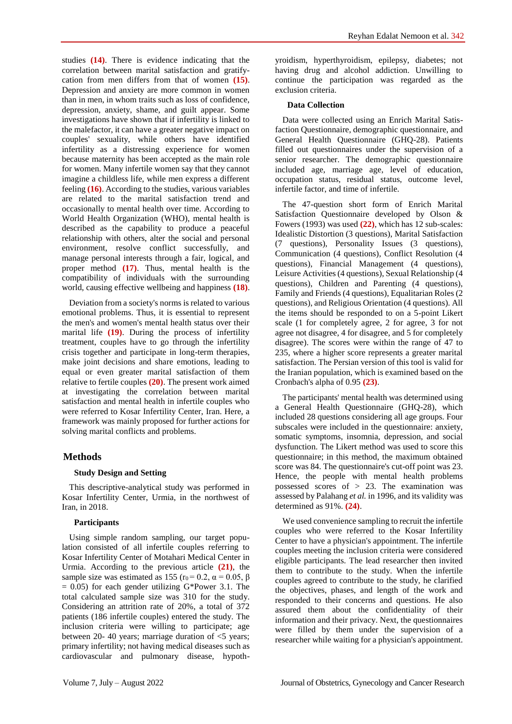studies **(14)**. There is evidence indicating that the correlation between marital satisfaction and gratifycation from men differs from that of women **(15)**. Depression and anxiety are more common in women than in men, in whom traits such as loss of confidence, depression, anxiety, shame, and guilt appear. Some investigations have shown that if infertility is linked to the malefactor, it can have a greater negative impact on couples' sexuality, while others have identified infertility as a distressing experience for women because maternity has been accepted as the main role for women. Many infertile women say that they cannot imagine a childless life, while men express a different feeling **(16)**. According to the studies, various variables are related to the marital satisfaction trend and occasionally to mental health over time. According to World Health Organization (WHO), mental health is described as the capability to produce a peaceful relationship with others, alter the social and personal environment, resolve conflict successfully, and manage personal interests through a fair, logical, and proper method **(17)**. Thus, mental health is the compatibility of individuals with the surrounding world, causing effective wellbeing and happiness **(18)**.

Deviation from a society's norms is related to various emotional problems. Thus, it is essential to represent the men's and women's mental health status over their marital life **(19)**. During the process of infertility treatment, couples have to go through the infertility crisis together and participate in long-term therapies, make joint decisions and share emotions, leading to equal or even greater marital satisfaction of them relative to fertile couples **(20)**. The present work aimed at investigating the correlation between marital satisfaction and mental health in infertile couples who were referred to Kosar Infertility Center, Iran. Here, a framework was mainly proposed for further actions for solving marital conflicts and problems.

## **Methods**

## **Study Design and Setting**

This descriptive-analytical study was performed in Kosar Infertility Center, Urmia, in the northwest of Iran, in 2018.

## **Participants**

Using simple random sampling, our target population consisted of all infertile couples referring to Kosar Infertility Center of Motahari Medical Center in Urmia. According to the previous article **(21)**, the sample size was estimated as 155 ( $r_0 = 0.2$ ,  $\alpha = 0.05$ ,  $\beta$ )  $= 0.05$ ) for each gender utilizing G\*Power 3.1. The total calculated sample size was 310 for the study. Considering an attrition rate of 20%, a total of 372 patients (186 infertile couples) entered the study. The inclusion criteria were willing to participate; age between 20- 40 years; marriage duration of <5 years; primary infertility; not having medical diseases such as cardiovascular and pulmonary disease, hypothyroidism, hyperthyroidism, epilepsy, diabetes; not having drug and alcohol addiction. Unwilling to continue the participation was regarded as the exclusion criteria.

### **Data Collection**

Data were collected using an Enrich Marital Satisfaction Questionnaire, demographic questionnaire, and General Health Questionnaire (GHQ-28). Patients filled out questionnaires under the supervision of a senior researcher. The demographic questionnaire included age, marriage age, level of education, occupation status, residual status, outcome level, infertile factor, and time of infertile.

The 47-question short form of Enrich Marital Satisfaction Questionnaire developed by Olson & Fowers (1993) was used **(22)**, which has 12 sub-scales: Idealistic Distortion (3 questions), Marital Satisfaction (7 questions), Personality Issues (3 questions), Communication (4 questions), Conflict Resolution (4 questions), Financial Management (4 questions), Leisure Activities (4 questions), Sexual Relationship (4 questions), Children and Parenting (4 questions), Family and Friends (4 questions), Equalitarian Roles (2 questions), and Religious Orientation (4 questions). All the items should be responded to on a 5-point Likert scale (1 for completely agree, 2 for agree, 3 for not agree not disagree, 4 for disagree, and 5 for completely disagree). The scores were within the range of 47 to 235, where a higher score represents a greater marital satisfaction. The Persian version of this tool is valid for the Iranian population, which is examined based on the Cronbach's alpha of 0.95 **(23)**.

The participants' mental health was determined using a General Health Questionnaire (GHQ-28), which included 28 questions considering all age groups. Four subscales were included in the questionnaire: anxiety, somatic symptoms, insomnia, depression, and social dysfunction. The Likert method was used to score this questionnaire; in this method, the maximum obtained score was 84. The questionnaire's cut-off point was 23. Hence, the people with mental health problems possessed scores of  $> 23$ . The examination was assessed by Palahang *et al.* in 1996, and its validity was determined as 91%. **(24)**.

We used convenience sampling to recruit the infertile couples who were referred to the Kosar Infertility Center to have a physician's appointment. The infertile couples meeting the inclusion criteria were considered eligible participants. The lead researcher then invited them to contribute to the study. When the infertile couples agreed to contribute to the study, he clarified the objectives, phases, and length of the work and responded to their concerns and questions. He also assured them about the confidentiality of their information and their privacy. Next, the questionnaires were filled by them under the supervision of a researcher while waiting for a physician's appointment.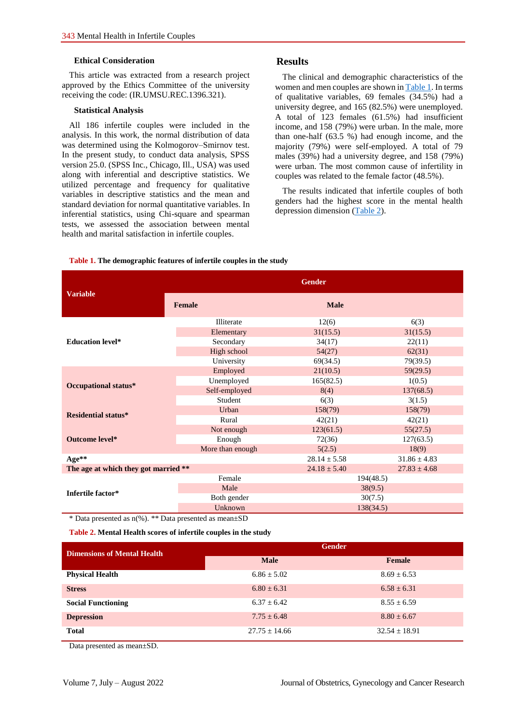#### **Ethical Consideration**

This article was extracted from a research project approved by the Ethics Committee of the university receiving the code: (IR.UMSU.REC.1396.321).

#### **Statistical Analysis**

All 186 infertile couples were included in the analysis. In this work, the normal distribution of data was determined using the Kolmogorov–Smirnov test. In the present study, to conduct data analysis, SPSS version 25.0. (SPSS Inc., Chicago, Ill., USA) was used along with inferential and descriptive statistics. We utilized percentage and frequency for qualitative variables in descriptive statistics and the mean and standard deviation for normal quantitative variables. In inferential statistics, using Chi-square and spearman tests, we assessed the association between mental health and marital satisfaction in infertile couples.

## **Results**

The clinical and demographic characteristics of the women and men couples are shown in [Table 1.](#page-2-0) In terms of qualitative variables, 69 females (34.5%) had a university degree, and 165 (82.5%) were unemployed. A total of 123 females (61.5%) had insufficient income, and 158 (79%) were urban. In the male, more than one-half (63.5 %) had enough income, and the majority (79%) were self-employed. A total of 79 males (39%) had a university degree, and 158 (79%) were urban. The most common cause of infertility in couples was related to the female factor (48.5%).

The results indicated that infertile couples of both genders had the highest score in the mental health depression dimension [\(Table 2\)](#page-2-1).

|                                      | <b>Gender</b>    |                  |                  |
|--------------------------------------|------------------|------------------|------------------|
| <b>Variable</b>                      | Female           | <b>Male</b>      |                  |
| <b>Education level*</b>              | Illiterate       | 12(6)            | 6(3)             |
|                                      | Elementary       | 31(15.5)         | 31(15.5)         |
|                                      | Secondary        | 34(17)           | 22(11)           |
|                                      | High school      | 54(27)           | 62(31)           |
|                                      | University       | 69(34.5)         | 79(39.5)         |
| Occupational status*                 | Employed         | 21(10.5)         | 59(29.5)         |
|                                      | Unemployed       | 165(82.5)        | 1(0.5)           |
|                                      | Self-employed    | 8(4)             | 137(68.5)        |
|                                      | Student          | 6(3)             | 3(1.5)           |
| <b>Residential status*</b>           | Urban            | 158(79)          | 158(79)          |
|                                      | Rural            | 42(21)           | 42(21)           |
| Outcome level*                       | Not enough       | 123(61.5)        | 55(27.5)         |
|                                      | Enough           | 72(36)           | 127(63.5)        |
|                                      | More than enough | 5(2.5)           | 18(9)            |
| $Age**$                              |                  | $28.14 + 5.58$   | $31.86 \pm 4.83$ |
| The age at which they got married ** |                  | $24.18 \pm 5.40$ | $27.83 \pm 4.68$ |
| Infertile factor*                    | Female           | 194(48.5)        |                  |
|                                      | Male             | 38(9.5)          |                  |
|                                      | Both gender      | 30(7.5)          |                  |
|                                      | Unknown          | 138(34.5)        |                  |

#### <span id="page-2-0"></span>**Table 1. The demographic features of infertile couples in the study**

\* Data presented as n(%). \*\* Data presented as mean±SD

<span id="page-2-1"></span>**Table 2. Mental Health scores of infertile couples in the study**

| <b>Dimensions of Mental Health</b> | <b>Gender</b>     |                   |  |
|------------------------------------|-------------------|-------------------|--|
|                                    | <b>Male</b>       | Female            |  |
| <b>Physical Health</b>             | $6.86 \pm 5.02$   | $8.69 \pm 6.53$   |  |
| <b>Stress</b>                      | $6.80 \pm 6.31$   | $6.58 \pm 6.31$   |  |
| <b>Social Functioning</b>          | $6.37 + 6.42$     | $8.55 \pm 6.59$   |  |
| <b>Depression</b>                  | $7.75 \pm 6.48$   | $8.80 \pm 6.67$   |  |
| <b>Total</b>                       | $27.75 \pm 14.66$ | $32.54 \pm 18.91$ |  |

Data presented as mean±SD.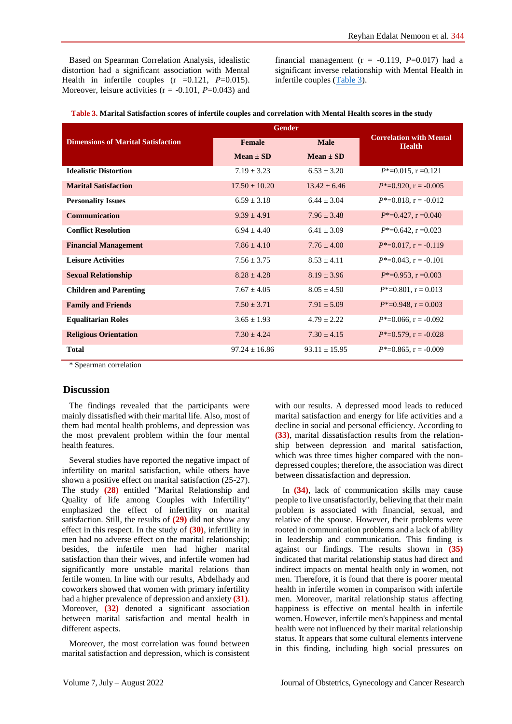Based on Spearman Correlation Analysis, idealistic distortion had a significant association with Mental Health in infertile couples  $(r = 0.121, P=0.015)$ . Moreover, leisure activities  $(r = -0.101, P = 0.043)$  and financial management  $(r = -0.119, P=0.017)$  had a significant inverse relationship with Mental Health in infertile couples [\(Table 3\)](#page-3-0).

|                                           | <b>Gender</b>     |                 |                                                 |
|-------------------------------------------|-------------------|-----------------|-------------------------------------------------|
| <b>Dimensions of Marital Satisfaction</b> | Female            | <b>Male</b>     | <b>Correlation with Mental</b><br><b>Health</b> |
|                                           | $Mean \pm SD$     | $Mean + SD$     |                                                 |
| <b>Idealistic Distortion</b>              | $7.19 \pm 3.23$   | $6.53 \pm 3.20$ | $P^* = 0.015$ , r = 0.121                       |
| <b>Marital Satisfaction</b>               | $17.50 \pm 10.20$ | $13.42 + 6.46$  | $P^* = 0.920$ , r = -0.005                      |
| <b>Personality Issues</b>                 | $6.59 + 3.18$     | $6.44 \pm 3.04$ | $P^* = 0.818$ , r = -0.012                      |
| Communication                             | $9.39 \pm 4.91$   | $7.96 \pm 3.48$ | $P^* = 0.427$ , r = 0.040                       |
| <b>Conflict Resolution</b>                | $6.94 + 4.40$     | $6.41 + 3.09$   | $P^* = 0.642$ , r = 0.023                       |
| <b>Financial Management</b>               | $7.86 \pm 4.10$   | $7.76 \pm 4.00$ | $P^* = 0.017$ , r = -0.119                      |
| <b>Leisure Activities</b>                 | $7.56 + 3.75$     | $8.53 + 4.11$   | $P^* = 0.043$ , r = -0.101                      |
| <b>Sexual Relationship</b>                | $8.28 \pm 4.28$   | $8.19 \pm 3.96$ | $P^* = 0.953$ , r = 0.003                       |
| <b>Children and Parenting</b>             | $7.67 \pm 4.05$   | $8.05 \pm 4.50$ | $P^* = 0.801$ , r = 0.013                       |
| <b>Family and Friends</b>                 | $7.50 \pm 3.71$   | $7.91 \pm 5.09$ | $P^* = 0.948$ , r = 0.003                       |
| <b>Equalitarian Roles</b>                 | $3.65 \pm 1.93$   | $4.79 \pm 2.22$ | $P^* = 0.066$ , r = -0.092                      |
| <b>Religious Orientation</b>              | $7.30 \pm 4.24$   | $7.30 \pm 4.15$ | $P^* = 0.579$ , r = -0.028                      |
| <b>Total</b>                              | $97.24 + 16.86$   | $93.11 + 15.95$ | $P^* = 0.865$ , r = -0.009                      |

<span id="page-3-0"></span>

| Table 3. Marital Satisfaction scores of infertile couples and correlation with Mental Health scores in the study |  |
|------------------------------------------------------------------------------------------------------------------|--|
|------------------------------------------------------------------------------------------------------------------|--|

\* Spearman correlation

#### **Discussion**

The findings revealed that the participants were mainly dissatisfied with their marital life. Also, most of them had mental health problems, and depression was the most prevalent problem within the four mental health features.

Several studies have reported the negative impact of infertility on marital satisfaction, while others have shown a positive effect on marital satisfaction (25-27). The study **(28)** entitled "Marital Relationship and Quality of life among Couples with Infertility" emphasized the effect of infertility on marital satisfaction. Still, the results of **(29)** did not show any effect in this respect. In the study of **(30)**, infertility in men had no adverse effect on the marital relationship; besides, the infertile men had higher marital satisfaction than their wives, and infertile women had significantly more unstable marital relations than fertile women. In line with our results, Abdelhady and coworkers showed that women with primary infertility had a higher prevalence of depression and anxiety **(31)**. Moreover, **(32)** denoted a significant association between marital satisfaction and mental health in different aspects.

Moreover, the most correlation was found between marital satisfaction and depression, which is consistent with our results. A depressed mood leads to reduced marital satisfaction and energy for life activities and a decline in social and personal efficiency. According to **(33)**, marital dissatisfaction results from the relationship between depression and marital satisfaction, which was three times higher compared with the nondepressed couples; therefore, the association was direct between dissatisfaction and depression.

In **(34)**, lack of communication skills may cause people to live unsatisfactorily, believing that their main problem is associated with financial, sexual, and relative of the spouse. However, their problems were rooted in communication problems and a lack of ability in leadership and communication. This finding is against our findings. The results shown in **(35)** indicated that marital relationship status had direct and indirect impacts on mental health only in women, not men. Therefore, it is found that there is poorer mental health in infertile women in comparison with infertile men. Moreover, marital relationship status affecting happiness is effective on mental health in infertile women. However, infertile men's happiness and mental health were not influenced by their marital relationship status. It appears that some cultural elements intervene in this finding, including high social pressures on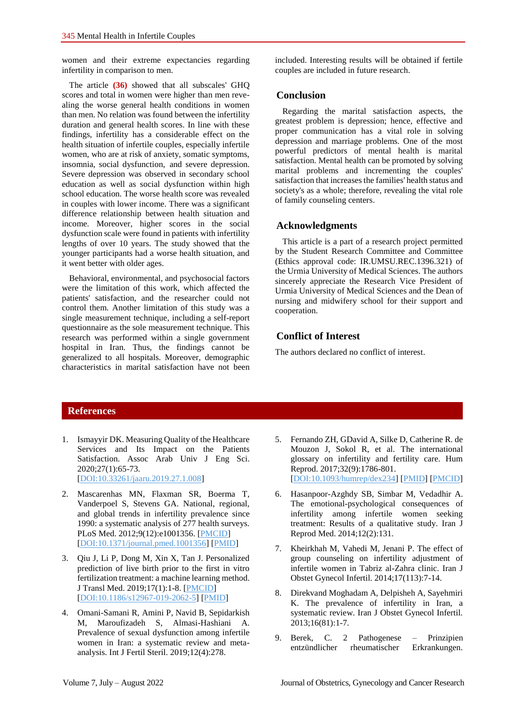women and their extreme expectancies regarding infertility in comparison to men.

The article **(36)** showed that all subscales' GHQ scores and total in women were higher than men revealing the worse general health conditions in women than men. No relation was found between the infertility duration and general health scores. In line with these findings, infertility has a considerable effect on the health situation of infertile couples, especially infertile women, who are at risk of anxiety, somatic symptoms, insomnia, social dysfunction, and severe depression. Severe depression was observed in secondary school education as well as social dysfunction within high school education. The worse health score was revealed in couples with lower income. There was a significant difference relationship between health situation and income. Moreover, higher scores in the social dysfunction scale were found in patients with infertility lengths of over 10 years. The study showed that the younger participants had a worse health situation, and it went better with older ages.

Behavioral, environmental, and psychosocial factors were the limitation of this work, which affected the patients' satisfaction, and the researcher could not control them. Another limitation of this study was a single measurement technique, including a self-report questionnaire as the sole measurement technique. This research was performed within a single government hospital in Iran. Thus, the findings cannot be generalized to all hospitals. Moreover, demographic characteristics in marital satisfaction have not been

included. Interesting results will be obtained if fertile couples are included in future research.

## **Conclusion**

Regarding the marital satisfaction aspects, the greatest problem is depression; hence, effective and proper communication has a vital role in solving depression and marriage problems. One of the most powerful predictors of mental health is marital satisfaction. Mental health can be promoted by solving marital problems and incrementing the couples' satisfaction that increases the families' health status and society's as a whole; therefore, revealing the vital role of family counseling centers.

## **Acknowledgments**

This article is a part of a research project permitted by the Student Research Committee and Committee (Ethics approval code: IR.UMSU.REC.1396.321) of the Urmia University of Medical Sciences. The authors sincerely appreciate the Research Vice President of Urmia University of Medical Sciences and the Dean of nursing and midwifery school for their support and cooperation.

## **Conflict of Interest**

The authors declared no conflict of interest.

## **References**

- 1. Ismayyir DK. Measuring Quality of the Healthcare Services and Its Impact on the Patients Satisfaction. Assoc Arab Univ J Eng Sci. 2020;27(1):65-73. [\[DOI:10.33261/jaaru.2019.27.1.008\]](https://doi.org/10.33261/jaaru.2019.27.1.008)
- 2. Mascarenhas MN, Flaxman SR, Boerma T, Vanderpoel S, Stevens GA. National, regional, and global trends in infertility prevalence since 1990: a systematic analysis of 277 health surveys. PLoS Med. 2012;9(12):e1001356. [\[PMCID\]](http://www.ncbi.nlm.nih.gov/pmc/articles/PMC3525527) [\[DOI:10.1371/journal.pmed.1001356\]](https://doi.org/10.1371/journal.pmed.1001356) [\[PMID\]](https://www.ncbi.nlm.nih.gov/pubmed/23271957)
- 3. Qiu J, Li P, Dong M, Xin X, Tan J. Personalized prediction of live birth prior to the first in vitro fertilization treatment: a machine learning method. J Transl Med. 2019;17(1):1-8. [\[PMCID\]](http://www.ncbi.nlm.nih.gov/pmc/articles/PMC6757430) [\[DOI:10.1186/s12967-019-2062-5\]](https://doi.org/10.1186/s12967-019-2062-5) [\[PMID\]](https://www.ncbi.nlm.nih.gov/pubmed/31547822)
- 4. Omani-Samani R, Amini P, Navid B, Sepidarkish M, Maroufizadeh S, Almasi-Hashiani A. Prevalence of sexual dysfunction among infertile women in Iran: a systematic review and metaanalysis. Int J Fertil Steril. 2019;12(4):278.
- 5. Fernando ZH, GDavid A, Silke D, Catherine R. de Mouzon J, Sokol R, et al. The international glossary on infertility and fertility care. Hum Reprod. 2017;32(9):1786-801. [\[DOI:10.1093/humrep/dex234\]](https://doi.org/10.1093/humrep/dex234) [\[PMID\]](https://www.ncbi.nlm.nih.gov/pubmed/29117321) [\[PMCID\]](http://www.ncbi.nlm.nih.gov/pmc/articles/PMC5850297)
- 6. Hasanpoor-Azghdy SB, Simbar M, Vedadhir A. The emotional-psychological consequences of infertility among infertile women seeking treatment: Results of a qualitative study. Iran J Reprod Med. 2014;12(2):131.
- 7. Kheirkhah M, Vahedi M, Jenani P. The effect of group counseling on infertility adjustment of infertile women in Tabriz al-Zahra clinic. Iran J Obstet Gynecol Infertil. 2014;17(113):7-14.
- 8. Direkvand Moghadam A, Delpisheh A, Sayehmiri K. The prevalence of infertility in Iran, a systematic review. Iran J Obstet Gynecol Infertil. 2013;16(81):1-7.
- 9. Berek, C. 2 Pathogenese Prinzipien entzündlicher rheumatischer Erkrankungen.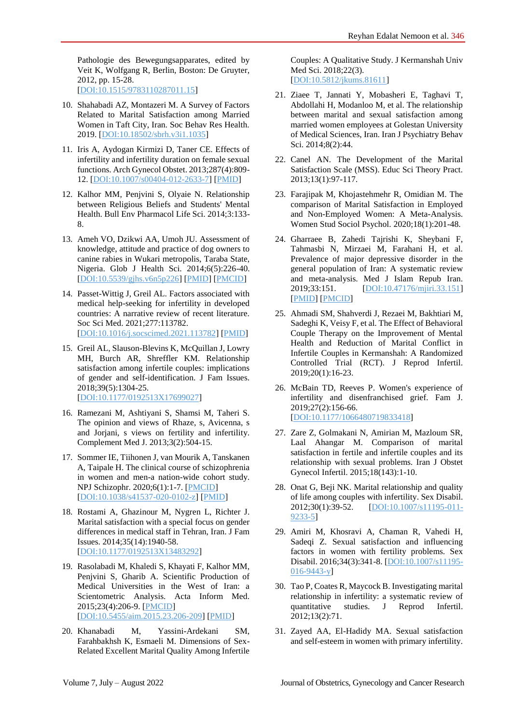Pathologie des Bewegungsapparates, edited by Veit K, Wolfgang R, Berlin, Boston: De Gruyter, 2012, pp. 15-28. [\[DOI:10.1515/9783110287011.15\]](https://doi.org/10.1515/9783110287011.15)

- 10. Shahabadi AZ, Montazeri M. A Survey of Factors Related to Marital Satisfaction among Married Women in Taft City, Iran. Soc Behav Res Health. 2019. [\[DOI:10.18502/sbrh.v3i1.1035\]](https://doi.org/10.18502/sbrh.v3i1.1035)
- 11. Iris A, Aydogan Kirmizi D, Taner CE. Effects of infertility and infertility duration on female sexual functions. Arch Gynecol Obstet. 2013;287(4):809- 12. [\[DOI:10.1007/s00404-012-2633-7\]](https://doi.org/10.1007/s00404-012-2633-7) [\[PMID\]](https://www.ncbi.nlm.nih.gov/pubmed/23179802)
- 12. Kalhor MM, Penjvini S, Olyaie N. Relationship between Religious Beliefs and Students' Mental Health. Bull Env Pharmacol Life Sci. 2014;3:133- 8.
- 13. Ameh VO, Dzikwi AA, Umoh JU. Assessment of knowledge, attitude and practice of dog owners to canine rabies in Wukari metropolis, Taraba State, Nigeria. Glob J Health Sci. 2014;6(5):226-40. [\[DOI:10.5539/gjhs.v6n5p226\]](https://doi.org/10.5539/gjhs.v6n5p226) [\[PMID\]](https://www.ncbi.nlm.nih.gov/pubmed/25168987) [\[PMCID\]](http://www.ncbi.nlm.nih.gov/pmc/articles/PMC4825497)
- 14. Passet-Wittig J, Greil AL. Factors associated with medical help-seeking for infertility in developed countries: A narrative review of recent literature. Soc Sci Med. 2021;277:113782. [\[DOI:10.1016/j.socscimed.2021.113782\]](https://doi.org/10.1016/j.socscimed.2021.113782) [\[PMID\]](https://www.ncbi.nlm.nih.gov/pubmed/33895708)
- 15. Greil AL, Slauson-Blevins K, McQuillan J, Lowry MH, Burch AR, Shreffler KM. Relationship satisfaction among infertile couples: implications of gender and self-identification. J Fam Issues. 2018;39(5):1304-25. [\[DOI:10.1177/0192513X17699027\]](https://doi.org/10.1177/0192513X17699027)
- 16. Ramezani M, Ashtiyani S, Shamsi M, Taheri S. The opinion and views of Rhaze, s, Avicenna, s and Jorjani, s views on fertility and infertility. Complement Med J. 2013;3(2):504-15.
- 17. Sommer IE, Tiihonen J, van Mourik A, Tanskanen A, Taipale H. The clinical course of schizophrenia in women and men-a nation-wide cohort study. NPJ Schizophr. 2020;6(1):1-7. [\[PMCID\]](http://www.ncbi.nlm.nih.gov/pmc/articles/PMC7195359) [\[DOI:10.1038/s41537-020-0102-z\]](https://doi.org/10.1038/s41537-020-0102-z) [\[PMID\]](https://www.ncbi.nlm.nih.gov/pubmed/32358572)
- 18. Rostami A, Ghazinour M, Nygren L, Richter J. Marital satisfaction with a special focus on gender differences in medical staff in Tehran, Iran. J Fam Issues. 2014;35(14):1940-58. [\[DOI:10.1177/0192513X13483292\]](https://doi.org/10.1177/0192513X13483292)
- 19. Rasolabadi M, Khaledi S, Khayati F, Kalhor MM, Penjvini S, Gharib A. Scientific Production of Medical Universities in the West of Iran: a Scientometric Analysis. Acta Inform Med. 2015;23(4):206-9. [\[PMCID\]](http://www.ncbi.nlm.nih.gov/pmc/articles/PMC4584087) [\[DOI:10.5455/aim.2015.23.206-209\]](https://doi.org/10.5455/aim.2015.23.206-209) [\[PMID\]](https://www.ncbi.nlm.nih.gov/pubmed/26483592)
- 20. Khanabadi M, Yassini-Ardekani SM, Farahbakhsh K, Esmaeli M. Dimensions of Sex-Related Excellent Marital Quality Among Infertile

Couples: A Qualitative Study. J Kermanshah Univ Med Sci. 2018;22(3). [\[DOI:10.5812/jkums.81611\]](https://doi.org/10.5812/jkums.81611)

- 21. Ziaee T, Jannati Y, Mobasheri E, Taghavi T, Abdollahi H, Modanloo M, et al. The relationship between marital and sexual satisfaction among married women employees at Golestan University of Medical Sciences, Iran. Iran J Psychiatry Behav Sci. 2014;8(2):44.
- 22. Canel AN. The Development of the Marital Satisfaction Scale (MSS). Educ Sci Theory Pract. 2013;13(1):97-117.
- 23. Farajipak M, Khojastehmehr R, Omidian M. The comparison of Marital Satisfaction in Employed and Non-Employed Women: A Meta-Analysis. Women Stud Sociol Psychol. 2020;18(1):201-48.
- 24. Gharraee B, Zahedi Tajrishi K, Sheybani F, Tahmasbi N, Mirzaei M, Farahani H, et al. Prevalence of major depressive disorder in the general population of Iran: A systematic review and meta-analysis. Med J Islam Repub Iran. 2019;33:151. [\[DOI:10.47176/mjiri.33.151\]](https://doi.org/10.47176/mjiri.33.151) [\[PMID\]](https://www.ncbi.nlm.nih.gov/pubmed/32280657) [\[PMCID\]](http://www.ncbi.nlm.nih.gov/pmc/articles/PMC7137832)
- 25. Ahmadi SM, Shahverdi J, Rezaei M, Bakhtiari M, Sadeghi K, Veisy F, et al. The Effect of Behavioral Couple Therapy on the Improvement of Mental Health and Reduction of Marital Conflict in Infertile Couples in Kermanshah: A Randomized Controlled Trial (RCT). J Reprod Infertil. 2019;20(1):16-23.
- 26. McBain TD, Reeves P. Women's experience of infertility and disenfranchised grief. Fam J. 2019;27(2):156-66. [\[DOI:10.1177/1066480719833418\]](https://doi.org/10.1177/1066480719833418)
- 27. Zare Z, Golmakani N, Amirian M, Mazloum SR, Laal Ahangar M. Comparison of marital satisfaction in fertile and infertile couples and its relationship with sexual problems. Iran J Obstet Gynecol Infertil. 2015;18(143):1-10.
- 28. Onat G, Beji NK. Marital relationship and quality of life among couples with infertility. Sex Disabil. 2012;30(1):39-52. [\[DOI:10.1007/s11195-011-](https://doi.org/10.1007/s11195-011-9233-5) [9233-5\]](https://doi.org/10.1007/s11195-011-9233-5)
- 29. Amiri M, Khosravi A, Chaman R, Vahedi H, Sadeqi Z. Sexual satisfaction and influencing factors in women with fertility problems. Sex Disabil. 2016;34(3):341-8. [\[DOI:10.1007/s11195-](https://doi.org/10.1007/s11195-016-9443-y) [016-9443-y\]](https://doi.org/10.1007/s11195-016-9443-y)
- 30. Tao P, Coates R, Maycock B. Investigating marital relationship in infertility: a systematic review of quantitative studies. J Reprod Infertil. 2012;13(2):71.
- 31. Zayed AA, El-Hadidy MA. Sexual satisfaction and self-esteem in women with primary infertility.